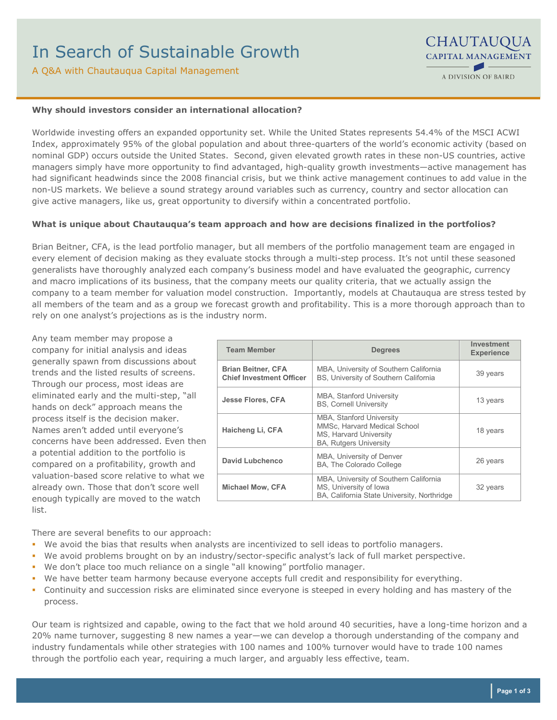A Q&A with Chautauqua Capital Management

### **Why should investors consider an international allocation?**

Worldwide investing offers an expanded opportunity set. While the United States represents 54.4% of the MSCI ACWI Index, approximately 95% of the global population and about three-quarters of the world's economic activity (based on nominal GDP) occurs outside the United States. Second, given elevated growth rates in these non-US countries, active managers simply have more opportunity to find advantaged, high-quality growth investments—active management has had significant headwinds since the 2008 financial crisis, but we think active management continues to add value in the non-US markets. We believe a sound strategy around variables such as currency, country and sector allocation can give active managers, like us, great opportunity to diversify within a concentrated portfolio.

#### **What is unique about Chautauqua's team approach and how are decisions finalized in the portfolios?**

Brian Beitner, CFA, is the lead portfolio manager, but all members of the portfolio management team are engaged in every element of decision making as they evaluate stocks through a multi-step process. It's not until these seasoned generalists have thoroughly analyzed each company's business model and have evaluated the geographic, currency and macro implications of its business, that the company meets our quality criteria, that we actually assign the company to a team member for valuation model construction. Importantly, models at Chautauqua are stress tested by all members of the team and as a group we forecast growth and profitability. This is a more thorough approach than to rely on one analyst's projections as is the industry norm.

Any team member may propose a company for initial analysis and ideas generally spawn from discussions about trends and the listed results of screens. Through our process, most ideas are eliminated early and the multi-step, "all hands on deck" approach means the process itself is the decision maker. Names aren't added until everyone's concerns have been addressed. Even then a potential addition to the portfolio is compared on a profitability, growth and valuation-based score relative to what we already own. Those that don't score well enough typically are moved to the watch list.

| <b>Team Member</b>                                           | <b>Degrees</b>                                                                                                             | Investment<br><b>Experience</b> |
|--------------------------------------------------------------|----------------------------------------------------------------------------------------------------------------------------|---------------------------------|
| <b>Brian Beitner, CFA</b><br><b>Chief Investment Officer</b> | MBA, University of Southern California<br>BS, University of Southern California                                            | 39 years                        |
| <b>Jesse Flores, CFA</b>                                     | <b>MBA, Stanford University</b><br><b>BS, Cornell University</b>                                                           | 13 years                        |
| Haicheng Li, CFA                                             | <b>MBA, Stanford University</b><br>MMSc, Harvard Medical School<br>MS, Harvard University<br><b>BA, Rutgers University</b> | 18 years                        |
| David Lubchenco                                              | MBA, University of Denver<br>BA, The Colorado College                                                                      | 26 years                        |
| <b>Michael Mow, CFA</b>                                      | MBA, University of Southern California<br>MS, University of Iowa<br>BA, California State University, Northridge            | 32 years                        |

There are several benefits to our approach:

- We avoid the bias that results when analysts are incentivized to sell ideas to portfolio managers.
- We avoid problems brought on by an industry/sector-specific analyst's lack of full market perspective.
- We don't place too much reliance on a single "all knowing" portfolio manager.
- We have better team harmony because everyone accepts full credit and responsibility for everything.
- Continuity and succession risks are eliminated since everyone is steeped in every holding and has mastery of the process.

Our team is rightsized and capable, owing to the fact that we hold around 40 securities, have a long-time horizon and a 20% name turnover, suggesting 8 new names a year—we can develop a thorough understanding of the company and industry fundamentals while other strategies with 100 names and 100% turnover would have to trade 100 names through the portfolio each year, requiring a much larger, and arguably less effective, team.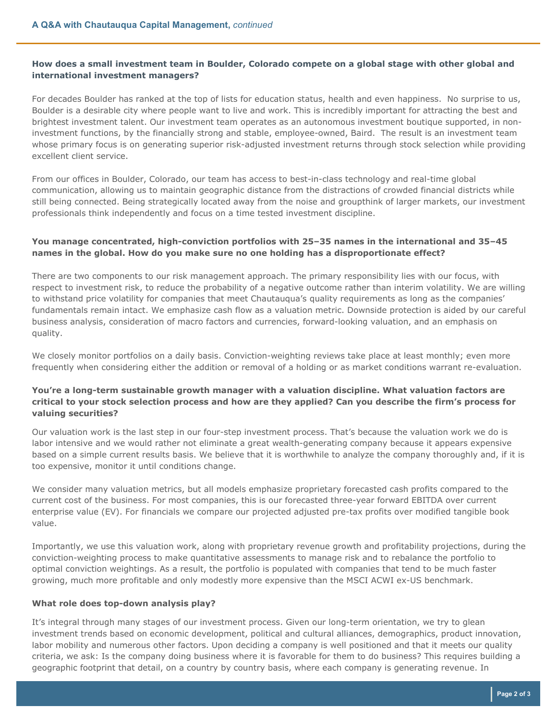## **How does a small investment team in Boulder, Colorado compete on a global stage with other global and international investment managers?**

For decades Boulder has ranked at the top of lists for education status, health and even happiness. No surprise to us, Boulder is a desirable city where people want to live and work. This is incredibly important for attracting the best and brightest investment talent. Our investment team operates as an autonomous investment boutique supported, in noninvestment functions, by the financially strong and stable, employee-owned, Baird. The result is an investment team whose primary focus is on generating superior risk-adjusted investment returns through stock selection while providing excellent client service.

From our offices in Boulder, Colorado, our team has access to best-in-class technology and real-time global communication, allowing us to maintain geographic distance from the distractions of crowded financial districts while still being connected. Being strategically located away from the noise and groupthink of larger markets, our investment professionals think independently and focus on a time tested investment discipline.

# **You manage concentrated, high-conviction portfolios with 25–35 names in the international and 35–45 names in the global. How do you make sure no one holding has a disproportionate effect?**

There are two components to our risk management approach. The primary responsibility lies with our focus, with respect to investment risk, to reduce the probability of a negative outcome rather than interim volatility. We are willing to withstand price volatility for companies that meet Chautauqua's quality requirements as long as the companies' fundamentals remain intact. We emphasize cash flow as a valuation metric. Downside protection is aided by our careful business analysis, consideration of macro factors and currencies, forward-looking valuation, and an emphasis on quality.

We closely monitor portfolios on a daily basis. Conviction-weighting reviews take place at least monthly; even more frequently when considering either the addition or removal of a holding or as market conditions warrant re-evaluation.

## **You're a long-term sustainable growth manager with a valuation discipline. What valuation factors are critical to your stock selection process and how are they applied? Can you describe the firm's process for valuing securities?**

Our valuation work is the last step in our four-step investment process. That's because the valuation work we do is labor intensive and we would rather not eliminate a great wealth-generating company because it appears expensive based on a simple current results basis. We believe that it is worthwhile to analyze the company thoroughly and, if it is too expensive, monitor it until conditions change.

We consider many valuation metrics, but all models emphasize proprietary forecasted cash profits compared to the current cost of the business. For most companies, this is our forecasted three-year forward EBITDA over current enterprise value (EV). For financials we compare our projected adjusted pre-tax profits over modified tangible book value.

Importantly, we use this valuation work, along with proprietary revenue growth and profitability projections, during the conviction-weighting process to make quantitative assessments to manage risk and to rebalance the portfolio to optimal conviction weightings. As a result, the portfolio is populated with companies that tend to be much faster growing, much more profitable and only modestly more expensive than the MSCI ACWI ex-US benchmark.

## **What role does top-down analysis play?**

It's integral through many stages of our investment process. Given our long-term orientation, we try to glean investment trends based on economic development, political and cultural alliances, demographics, product innovation, labor mobility and numerous other factors. Upon deciding a company is well positioned and that it meets our quality criteria, we ask: Is the company doing business where it is favorable for them to do business? This requires building a geographic footprint that detail, on a country by country basis, where each company is generating revenue. In